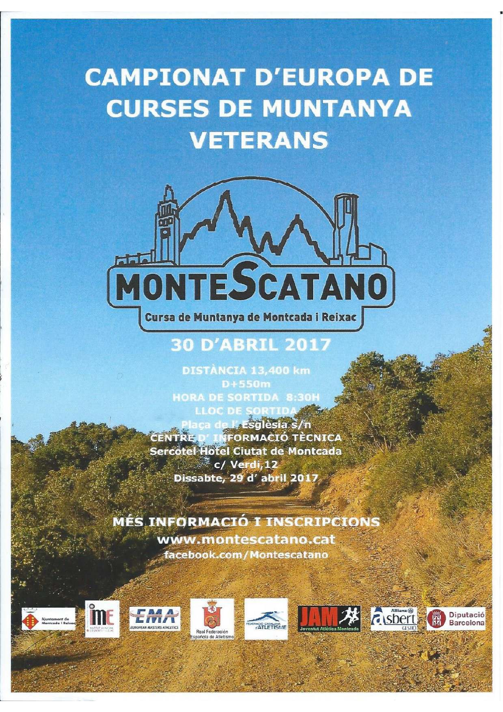# **CAMPIONAT D'EUROPA DE CURSES DE MUNTANYA VETERANS**



# **30 D'ABRIL 2017**

**DISTÀNCIA 13,400 km**  $D+550m$ **HORA DE SORTIDA 8:30H LLOC DE SORTIDA** 

a de **Lasglèsia** s/n **IFORMACIÓ TÈCNICA** Sercotel Hotel Ciutat de Montcada  $\mathbb{Z}$  c/ Verdi, 12 Dissabte, 29 d'abril 2017

**MÉS INFORMACIÓ I INSCRIPCIONS** www.montescatano.cat facebook.com/Montescatano













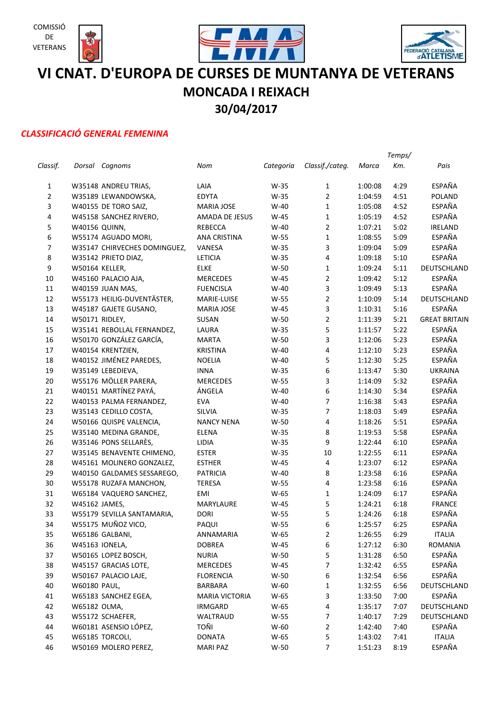





# **VI CNAT. D'EUROPA DE CURSES DE MUNTANYA DE VETERANS MONCADA I REIXACH 30/04/2017**

### *CLASSIFICACIÓ GENERAL FEMENINA*

|                |                |                              |                       |           |                 |         | Temps/ |                      |
|----------------|----------------|------------------------------|-----------------------|-----------|-----------------|---------|--------|----------------------|
| Classif.       |                | Dorsal Cognoms               | Nom                   | Categoria | Classif./categ. | Marca   | Km.    | Pais                 |
| $\mathbf{1}$   |                | W35148 ANDREU TRIAS,         | LAIA                  | W-35      | 1               | 1:00:08 | 4:29   | ESPAÑA               |
| $\mathbf 2$    |                | W35189 LEWANDOWSKA,          | <b>EDYTA</b>          | $W-35$    | $\overline{2}$  | 1:04:59 | 4:51   | <b>POLAND</b>        |
| 3              |                | W40155 DE TORO SAIZ,         | <b>MARIA JOSE</b>     | $W-40$    | $\mathbf{1}$    | 1:05:08 | 4:52   | ESPAÑA               |
| $\pmb{4}$      |                | W45158 SANCHEZ RIVERO,       | AMADA DE JESUS        | $W-45$    | $\mathbf 1$     | 1:05:19 | 4:52   | ESPAÑA               |
| 5              | W40156 QUINN,  |                              | <b>REBECCA</b>        | $W-40$    | $\overline{2}$  | 1:07:21 | 5:02   | <b>IRELAND</b>       |
| 6              |                | W55174 AGUADO MORI,          | ANA CRISTINA          | W-55      | $\mathbf 1$     | 1:08:55 | 5:09   | ESPAÑA               |
| $\overline{7}$ |                | W35147 CHIRVECHES DOMINGUEZ, | VANESA                | $W-35$    | 3               | 1:09:04 | 5:09   | ESPAÑA               |
| 8              |                | W35142 PRIETO DIAZ,          | LETICIA               | $W-35$    | 4               | 1:09:18 | 5:10   | ESPAÑA               |
| 9              | W50164 KELLER, |                              | <b>ELKE</b>           | W-50      | $\mathbf{1}$    | 1:09:24 | 5:11   | DEUTSCHLAND          |
| 10             |                | W45160 PALACIO AJA,          | <b>MERCEDES</b>       | $W-45$    | $\overline{2}$  | 1:09:42 | 5:12   | ESPAÑA               |
| 11             |                | W40159 JUAN MAS,             | <b>FUENCISLA</b>      | $W-40$    | 3               | 1:09:49 | 5:13   | ESPAÑA               |
| 12             |                | W55173 HEILIG-DUVENTÄSTER,   | MARIE-LUISE           | W-55      | $\overline{2}$  | 1:10:09 | 5:14   | DEUTSCHLAND          |
| 13             |                | W45187 GAJETE GUSANO,        | <b>MARIA JOSE</b>     | $W-45$    | 3               | 1:10:31 | 5:16   | <b>ESPAÑA</b>        |
| 14             | W50171 RIDLEY, |                              | SUSAN                 | W-50      | $\overline{2}$  | 1:11:39 | 5:21   | <b>GREAT BRITAIN</b> |
| 15             |                | W35141 REBOLLAL FERNANDEZ,   | LAURA                 | W-35      | 5               | 1:11:57 | 5:22   | ESPAÑA               |
| 16             |                | W50170 GONZÁLEZ GARCÍA,      | <b>MARTA</b>          | $W-50$    | 3               | 1:12:06 | 5:23   | ESPAÑA               |
| $17\,$         |                | W40154 KRENTZIEN,            | <b>KRISTINA</b>       | $W-40$    | 4               | 1:12:10 | 5:23   | ESPAÑA               |
| 18             |                | W40152 JIMÉNEZ PAREDES,      | <b>NOELIA</b>         | $W-40$    | 5               | 1:12:30 | 5:25   | ESPAÑA               |
| 19             |                | W35149 LEBEDIEVA,            | <b>INNA</b>           | $W-35$    | 6               | 1:13:47 | 5:30   | <b>UKRAINA</b>       |
| 20             |                | W55176 MÖLLER PARERA,        | <b>MERCEDES</b>       | $W-55$    | 3               | 1:14:09 | 5:32   | ESPAÑA               |
| 21             |                | W40151 MARTÍNEZ PAYÁ,        | ÁNGELA                | $W-40$    | 6               | 1:14:30 | 5:34   | ESPAÑA               |
| 22             |                | W40153 PALMA FERNANDEZ,      | <b>EVA</b>            | $W-40$    | $\overline{7}$  | 1:16:38 | 5:43   | ESPAÑA               |
| 23             |                | W35143 CEDILLO COSTA,        | SILVIA                | W-35      | $\overline{7}$  | 1:18:03 | 5:49   | ESPAÑA               |
| 24             |                | W50166 QUISPE VALENCIA,      | <b>NANCY NENA</b>     | $W-50$    | 4               | 1:18:26 | 5:51   | ESPAÑA               |
| 25             |                | W35140 MEDINA GRANDE,        | ELENA                 | W-35      | 8               | 1:19:53 | 5:58   | ESPAÑA               |
| 26             |                | W35146 PONS SELLARÈS,        | LIDIA                 | W-35      | 9               | 1:22:44 | 6:10   | ESPAÑA               |
| 27             |                | W35145 BENAVENTE CHIMENO,    | <b>ESTER</b>          | W-35      | 10              | 1:22:55 | 6:11   | ESPAÑA               |
| 28             |                | W45161 MOLINERO GONZALEZ,    | <b>ESTHER</b>         | $W-45$    | 4               | 1:23:07 | 6:12   | ESPAÑA               |
| 29             |                | W40150 GALDAMES SESSAREGO,   | <b>PATRICIA</b>       | $W-40$    | 8               | 1:23:58 | 6:16   | ESPAÑA               |
| 30             |                | W55178 RUZAFA MANCHON,       | <b>TERESA</b>         | W-55      | 4               | 1:23:58 | 6:16   | ESPAÑA               |
| 31             |                | W65184 VAQUERO SANCHEZ,      | EMI                   | W-65      | $\mathbf{1}$    | 1:24:09 | 6:17   | ESPAÑA               |
| 32             | W45162 JAMES,  |                              | MARYLAURE             | W-45      | 5               | 1:24:21 | 6:18   | <b>FRANCE</b>        |
| 33             |                | W55179 SEVILLA SANTAMARIA,   | <b>DORI</b>           | $W-55$    | 5               | 1:24:26 | 6:18   | ESPAÑA               |
| 34             |                | W55175 MUÑOZ VICO,           | PAQUI                 | W-55      | 6               | 1:25:57 | 6:25   | <b>ESPAÑA</b>        |
| 35             |                | W65186 GALBANI,              | ANNAMARIA             | W-65      | $\overline{2}$  | 1:26:55 | 6:29   | <b>ITALIA</b>        |
| 36             |                | W45163 IONELA,               | <b>DOBREA</b>         | W-45      | 6               | 1:27:12 | 6:30   | <b>ROMANIA</b>       |
| 37             |                | W50165 LOPEZ BOSCH,          | <b>NURIA</b>          | W-50      | 5               | 1:31:28 | 6:50   | ESPAÑA               |
| 38             |                | W45157 GRACIAS LOTE,         | MERCEDES              | W-45      | 7               | 1:32:42 | 6:55   | ESPAÑA               |
| 39             |                | W50167 PALACIO LAJE,         | <b>FLORENCIA</b>      | $W-50$    | 6               | 1:32:54 | 6:56   | ESPAÑA               |
| 40             | W60180 PAUL,   |                              | BARBARA               | W-60      | $\mathbf 1$     | 1:32:55 | 6:56   | DEUTSCHLAND          |
| 41             |                | W65183 SANCHEZ EGEA,         | <b>MARIA VICTORIA</b> | W-65      | 3               | 1:33:50 | 7:00   | ESPAÑA               |
| 42             | W65182 OLMA,   |                              | <b>IRMGARD</b>        | W-65      | 4               | 1:35:17 | 7:07   | DEUTSCHLAND          |
| 43             |                | W55172 SCHAEFER,             | WALTRAUD              | W-55      | $\overline{7}$  | 1:40:17 | 7:29   | DEUTSCHLAND          |
| 44             |                | W60181 ASENSIO LÓPEZ,        | TOÑI                  | W-60      | $\overline{2}$  | 1:42:40 | 7:40   | ESPAÑA               |
| 45             |                | W65185 TORCOLI,              | <b>DONATA</b>         | W-65      | 5               | 1:43:02 | 7:41   | <b>ITALIA</b>        |
| 46             |                | W50169 MOLERO PEREZ,         | <b>MARI PAZ</b>       | $W-50$    | $\overline{7}$  | 1:51:23 | 8:19   | ESPAÑA               |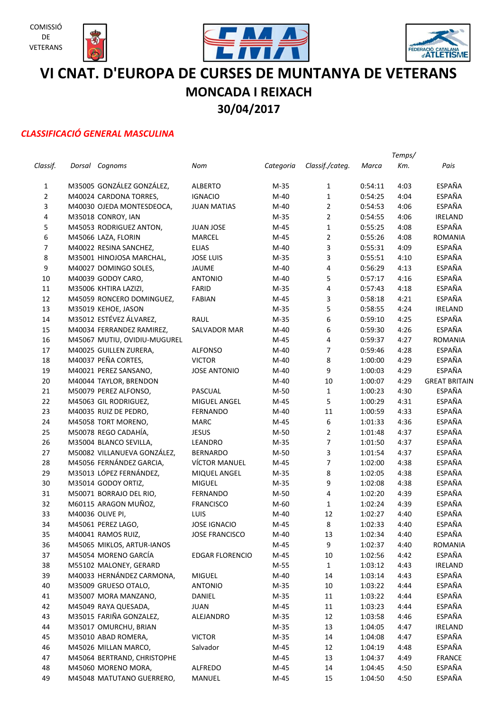







# **VI CNAT. D'EUROPA DE CURSES DE MUNTANYA DE VETERANS MONCADA I REIXACH 30/04/2017**

### *CLASSIFICACIÓ GENERAL MASCULINA*

|                |                              |                        |           |                 |         | Temps/ |                      |
|----------------|------------------------------|------------------------|-----------|-----------------|---------|--------|----------------------|
| Classif.       | Dorsal Cognoms               | Nom                    | Categoria | Classif./categ. | Marca   | Km.    | Pais                 |
| 1              | M35005 GONZÁLEZ GONZÁLEZ,    | <b>ALBERTO</b>         | $M-35$    | 1               | 0:54:11 | 4:03   | ESPAÑA               |
| $\overline{2}$ | M40024 CARDONA TORRES,       | <b>IGNACIO</b>         | $M-40$    | $\mathbf{1}$    | 0:54:25 | 4:04   | <b>ESPAÑA</b>        |
| 3              | M40030 OJEDA MONTESDEOCA,    | <b>JUAN MATIAS</b>     | $M-40$    | $\overline{2}$  | 0:54:53 | 4:06   | ESPAÑA               |
| 4              | M35018 CONROY, IAN           |                        | $M-35$    | $\overline{2}$  | 0:54:55 | 4:06   | <b>IRELAND</b>       |
| 5              | M45053 RODRIGUEZ ANTON,      | <b>JUAN JOSE</b>       | M-45      | $\mathbf{1}$    | 0:55:25 | 4:08   | <b>ESPAÑA</b>        |
| 6              | M45066 LAZA, FLORIN          | MARCEL                 | M-45      | $\overline{2}$  | 0:55:26 | 4:08   | <b>ROMANIA</b>       |
| $\overline{7}$ | M40022 RESINA SANCHEZ,       | <b>ELIAS</b>           | $M-40$    | 3               | 0:55:31 | 4:09   | <b>ESPAÑA</b>        |
| 8              | M35001 HINOJOSA MARCHAL,     | <b>JOSE LUIS</b>       | $M-35$    | 3               | 0:55:51 | 4:10   | <b>ESPAÑA</b>        |
| 9              | M40027 DOMINGO SOLES,        | <b>JAUME</b>           | M-40      | 4               | 0:56:29 | 4:13   | <b>ESPAÑA</b>        |
| $10\,$         | M40039 GODOY CARO,           | <b>ANTONIO</b>         | $M-40$    | 5               | 0:57:17 | 4:16   | <b>ESPAÑA</b>        |
| $11\,$         | M35006 KHTIRA LAZIZI,        | <b>FARID</b>           | $M-35$    | 4               | 0:57:43 | 4:18   | <b>ESPAÑA</b>        |
| 12             | M45059 RONCERO DOMINGUEZ,    | <b>FABIAN</b>          | M-45      | 3               | 0:58:18 | 4:21   | <b>ESPAÑA</b>        |
| 13             | M35019 KEHOE, JASON          |                        | $M-35$    | 5               | 0:58:55 | 4:24   | <b>IRELAND</b>       |
| 14             | M35012 ESTÉVEZ ÁLVAREZ,      | RAUL                   | $M-35$    | 6               | 0:59:10 | 4:25   | <b>ESPAÑA</b>        |
| 15             | M40034 FERRANDEZ RAMIREZ,    | SALVADOR MAR           | $M-40$    | 6               | 0:59:30 | 4:26   | <b>ESPAÑA</b>        |
| 16             | M45067 MUTIU, OVIDIU-MUGUREL |                        | $M-45$    | 4               | 0:59:37 | 4:27   | <b>ROMANIA</b>       |
| 17             | M40025 GUILLEN ZURERA,       | ALFONSO                | M-40      | $\overline{7}$  | 0:59:46 | 4:28   | <b>ESPAÑA</b>        |
| 18             | M40037 PEÑA CORTES,          | <b>VICTOR</b>          | M-40      | 8               | 1:00:00 | 4:29   | <b>ESPAÑA</b>        |
| 19             | M40021 PEREZ SANSANO,        | <b>JOSE ANTONIO</b>    | M-40      | 9               | 1:00:03 | 4:29   | ESPAÑA               |
| 20             | M40044 TAYLOR, BRENDON       |                        | M-40      | 10              | 1:00:07 | 4:29   | <b>GREAT BRITAIN</b> |
| 21             | M50079 PEREZ ALFONSO,        | PASCUAL                | M-50      | $\mathbf{1}$    | 1:00:23 | 4:30   | <b>ESPAÑA</b>        |
| 22             | M45063 GIL RODRIGUEZ,        | MIGUEL ANGEL           | $M-45$    | 5               | 1:00:29 | 4:31   | ESPAÑA               |
| 23             | M40035 RUIZ DE PEDRO,        | FERNANDO               | $M-40$    | 11              | 1:00:59 | 4:33   | ESPAÑA               |
| 24             | M45058 TORT MORENO,          | <b>MARC</b>            | $M-45$    | 6               | 1:01:33 | 4:36   | ESPAÑA               |
| 25             | M50078 REGO CADAHÍA,         | <b>JESUS</b>           | $M-50$    | $\overline{2}$  | 1:01:48 | 4:37   | ESPAÑA               |
| 26             | M35004 BLANCO SEVILLA,       | LEANDRO                | $M-35$    | $\overline{7}$  | 1:01:50 | 4:37   | ESPAÑA               |
| 27             | M50082 VILLANUEVA GONZÁLEZ,  | <b>BERNARDO</b>        | $M-50$    | 3               | 1:01:54 | 4:37   | ESPAÑA               |
| 28             | M45056 FERNÁNDEZ GARCIA,     | VÍCTOR MANUEL          | $M-45$    | $\overline{7}$  | 1:02:00 | 4:38   | ESPAÑA               |
| 29             | M35013 LÓPEZ FERNÁNDEZ,      | MIQUEL ANGEL           | $M-35$    | 8               | 1:02:05 | 4:38   | ESPAÑA               |
| 30             | M35014 GODOY ORTIZ,          | <b>MIGUEL</b>          | M-35      | 9               | 1:02:08 | 4:38   | ESPAÑA               |
| 31             | M50071 BORRAJO DEL RIO,      | FERNANDO               | M-50      | 4               | 1:02:20 | 4:39   | ESPAÑA               |
| 32             | M60115 ARAGON MUÑOZ,         | <b>FRANCISCO</b>       | M-60      | $\mathbf{1}$    | 1:02:24 | 4:39   | ESPAÑA               |
| 33             | M40036 OLIVE PI,             | LUIS                   | $M-40$    | 12              | 1:02:27 | 4:40   | <b>ESPAÑA</b>        |
| 34             | M45061 PEREZ LAGO,           | <b>JOSE IGNACIO</b>    | M-45      | 8               | 1:02:33 | 4:40   | <b>ESPAÑA</b>        |
| 35             | M40041 RAMOS RUIZ,           | <b>JOSE FRANCISCO</b>  | $M-40$    | 13              | 1:02:34 | 4:40   | ESPAÑA               |
| 36             | M45065 MIKLOS, ARTUR-IANOS   |                        | M-45      | 9               | 1:02:37 | 4:40   | <b>ROMANIA</b>       |
| 37             | M45054 MORENO GARCÍA         | <b>EDGAR FLORENCIO</b> | M-45      | 10              | 1:02:56 | 4:42   | ESPAÑA               |
| 38             | M55102 MALONEY, GERARD       |                        | M-55      | $\mathbf 1$     | 1:03:12 | 4:43   | <b>IRELAND</b>       |
| 39             | M40033 HERNÁNDEZ CARMONA,    | <b>MIGUEL</b>          | $M-40$    | 14              | 1:03:14 | 4:43   | ESPAÑA               |
| 40             | M35009 GRUESO OTALO,         | <b>ANTONIO</b>         | $M-35$    | 10              | 1:03:22 | 4:44   | ESPAÑA               |
| 41             | M35007 MORA MANZANO,         | DANIEL                 | M-35      | $11\,$          | 1:03:22 | 4:44   | ESPAÑA               |
| 42             | M45049 RAYA QUESADA,         | JUAN                   | M-45      | $11\,$          | 1:03:23 | 4:44   | ESPAÑA               |
| 43             | M35015 FARIÑA GONZALEZ,      | ALEJANDRO              | $M-35$    | 12              | 1:03:58 | 4:46   | ESPAÑA               |
| 44             | M35017 OMURCHU, BRIAN        |                        | $M-35$    | 13              | 1:04:05 | 4:47   | <b>IRELAND</b>       |
| 45             | M35010 ABAD ROMERA,          | <b>VICTOR</b>          | $M-35$    | 14              | 1:04:08 | 4:47   | ESPAÑA               |
| 46             | M45026 MILLAN MARCO,         | Salvador               | M-45      | 12              | 1:04:19 | 4:48   | ESPAÑA               |
| 47             | M45064 BERTRAND, CHRISTOPHE  |                        | M-45      | 13              | 1:04:37 | 4:49   | <b>FRANCE</b>        |
| 48             | M45060 MORENO MORA,          | ALFREDO                | M-45      | 14              | 1:04:45 | 4:50   | ESPAÑA               |
| 49             | M45048 MATUTANO GUERRERO,    | MANUEL                 | M-45      | 15              | 1:04:50 | 4:50   | ESPAÑA               |
|                |                              |                        |           |                 |         |        |                      |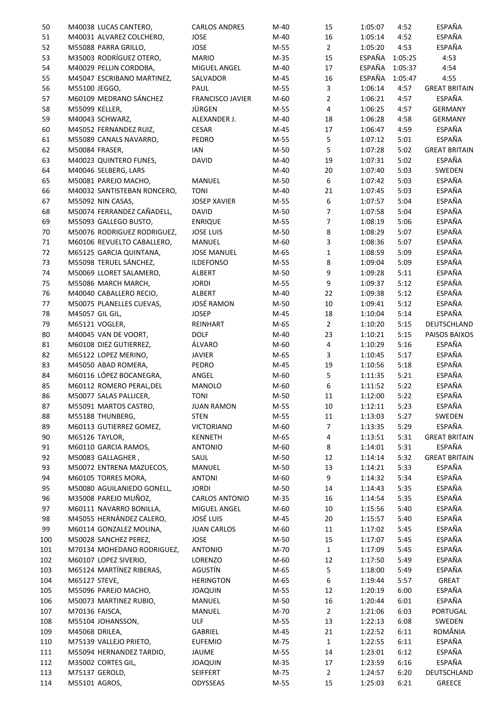| 50  | M40038 LUCAS CANTERO,       | <b>CARLOS ANDRES</b>  | $M-40$ | 15             | 1:05:07 | 4:52    | ESPAÑA               |
|-----|-----------------------------|-----------------------|--------|----------------|---------|---------|----------------------|
| 51  | M40031 ALVAREZ COLCHERO,    | JOSE                  | $M-40$ | 16             | 1:05:14 | 4:52    | ESPAÑA               |
| 52  | M55088 PARRA GRILLO,        | JOSE                  | M-55   | $\overline{2}$ | 1:05:20 | 4:53    | ESPAÑA               |
| 53  | M35003 RODRÍGUEZ OTERO,     | <b>MARIO</b>          | $M-35$ | 15             | ESPAÑA  | 1:05:25 | 4:53                 |
| 54  | M40029 PELLIN CORDOBA,      | MIGUEL ANGEL          | $M-40$ | 17             | ESPAÑA  | 1:05:37 | 4:54                 |
| 55  | M45047 ESCRIBANO MARTINEZ,  | SALVADOR              | $M-45$ | 16             | ESPAÑA  | 1:05:47 | 4:55                 |
| 56  | M55100 JEGGO,               | PAUL                  | M-55   | 3              | 1:06:14 | 4:57    | <b>GREAT BRITAIN</b> |
| 57  | M60109 MEDRANO SÁNCHEZ      | FRANCISCO JAVIER      | M-60   | $\overline{2}$ | 1:06:21 | 4:57    | ESPAÑA               |
| 58  | M55099 KELLER,              | JÜRGEN                | M-55   | $\overline{4}$ | 1:06:25 | 4:57    | <b>GERMANY</b>       |
| 59  | M40043 SCHWARZ,             | ALEXANDER J.          | $M-40$ | 18             | 1:06:28 | 4:58    | <b>GERMANY</b>       |
| 60  | M45052 FERNANDEZ RUIZ,      | <b>CESAR</b>          | M-45   | 17             | 1:06:47 | 4:59    | ESPAÑA               |
| 61  | M55089 CANALS NAVARRO,      | PEDRO                 | M-55   | 5              | 1:07:12 | 5:01    | ESPAÑA               |
| 62  | M50084 FRASER,              | IAN                   | M-50   | 5              | 1:07:28 | 5:02    | <b>GREAT BRITAIN</b> |
|     | M40023 QUINTERO FUNES,      | <b>DAVID</b>          | $M-40$ | 19             | 1:07:31 | 5:02    | ESPAÑA               |
| 63  |                             |                       |        |                |         |         | SWEDEN               |
| 64  | M40046 SELBERG, LARS        |                       | $M-40$ | 20<br>6        | 1:07:40 | 5:03    | ESPAÑA               |
| 65  | M50081 PAREJO MACHO,        | MANUEL                | $M-50$ |                | 1:07:42 | 5:03    |                      |
| 66  | M40032 SANTISTEBAN RONCERO, | <b>TONI</b>           | $M-40$ | 21             | 1:07:45 | 5:03    | ESPAÑA               |
| 67  | M55092 NIN CASAS,           | <b>JOSEP XAVIER</b>   | M-55   | 6              | 1:07:57 | 5:04    | ESPAÑA               |
| 68  | M50074 FERRANDEZ CAÑADELL,  | <b>DAVID</b>          | M-50   | $\overline{7}$ | 1:07:58 | 5:04    | ESPAÑA               |
| 69  | M55093 GALLEGO BUSTO,       | <b>ENRIQUE</b>        | $M-55$ | $\overline{7}$ | 1:08:19 | 5:06    | ESPAÑA               |
| 70  | M50076 RODRIGUEZ RODRIGUEZ, | <b>JOSE LUIS</b>      | M-50   | 8              | 1:08:29 | 5:07    | ESPAÑA               |
| 71  | M60106 REVUELTO CABALLERO,  | MANUEL                | M-60   | 3              | 1:08:36 | 5:07    | ESPAÑA               |
| 72  | M65125 GARCIA QUINTANA,     | <b>JOSE MANUEL</b>    | M-65   | $\mathbf{1}$   | 1:08:59 | 5:09    | ESPAÑA               |
| 73  | M55098 TERUEL SÁNCHEZ,      | <b>ILDEFONSO</b>      | M-55   | 8              | 1:09:04 | 5:09    | ESPAÑA               |
| 74  | M50069 LLORET SALAMERO,     | ALBERT                | M-50   | 9              | 1:09:28 | 5:11    | ESPAÑA               |
| 75  | M55086 MARCH MARCH,         | <b>JORDI</b>          | M-55   | 9              | 1:09:37 | 5:12    | ESPAÑA               |
| 76  | M40040 CABALLERO RECIO,     | ALBERT                | $M-40$ | 22             | 1:09:38 | 5:12    | ESPAÑA               |
| 77  | M50075 PLANELLES CUEVAS,    | <b>JOSÉ RAMON</b>     | M-50   | 10             | 1:09:41 | 5:12    | ESPAÑA               |
| 78  | M45057 GIL GIL,             | <b>JOSEP</b>          | $M-45$ | 18             | 1:10:04 | 5:14    | ESPAÑA               |
| 79  | M65121 VOGLER,              | REINHART              | M-65   | $\overline{2}$ | 1:10:20 | 5:15    | DEUTSCHLAND          |
| 80  | M40045 VAN DE VOORT,        | <b>DOLF</b>           | $M-40$ | 23             | 1:10:21 | 5:15    | PAISOS BAIXOS        |
| 81  | M60108 DIEZ GUTIERREZ,      | ÁLVARO                | M-60   | $\overline{4}$ | 1:10:29 | 5:16    | ESPAÑA               |
| 82  | M65122 LOPEZ MERINO,        | <b>JAVIER</b>         | M-65   | 3              | 1:10:45 | 5:17    | ESPAÑA               |
| 83  | M45050 ABAD ROMERA,         | PEDRO                 | M-45   | 19             | 1:10:56 | 5:18    | ESPAÑA               |
| 84  | M60116 LÓPEZ BOCANEGRA,     | ANGEL                 | M-60   | 5              | 1:11:35 | 5:21    | ESPAÑA               |
| 85  | M60112 ROMERO PERAL, DEL    | MANOLO                | M-60   | 6              | 1:11:52 | 5:22    | ESPAÑA               |
| 86  | M50077 SALAS PALLICER,      | TONI                  | M-50   | 11             | 1:12:00 | 5:22    | ESPAÑA               |
| 87  | M55091 MARTOS CASTRO,       | <b>JUAN RAMON</b>     | $M-55$ | 10             | 1:12:11 | 5:23    | ESPAÑA               |
| 88  | M55188 THUNBERG,            | <b>STEN</b>           | M-55   | 11             | 1:13:03 | 5:27    | SWEDEN               |
| 89  | M60113 GUTIERREZ GOMEZ,     | <b>VICTORIANO</b>     | M-60   | 7              | 1:13:35 | 5:29    | ESPAÑA               |
| 90  | M65126 TAYLOR,              | <b>KENNETH</b>        | M-65   | 4              | 1:13:51 | 5:31    | <b>GREAT BRITAIN</b> |
|     |                             |                       |        |                | 1:14:01 |         | ESPAÑA               |
| 91  | M60110 GARCIA RAMOS,        | <b>ANTONIO</b>        | M-60   | 8              | 1:14:14 | 5:31    | <b>GREAT BRITAIN</b> |
| 92  | M50083 GALLAGHER,           | SAUL                  | $M-50$ | 12             |         | 5:32    |                      |
| 93  | M50072 ENTRENA MAZUECOS,    | MANUEL                | $M-50$ | 13             | 1:14:21 | 5:33    | ESPAÑA               |
| 94  | M60105 TORRES MORA,         | <b>ANTONI</b>         | M-60   | 9              | 1:14:32 | 5:34    | ESPAÑA               |
| 95  | M50080 AGUILANIEDO GONELL,  | <b>JORDI</b>          | $M-50$ | 14             | 1:14:43 | 5:35    | ESPAÑA               |
| 96  | M35008 PAREJO MUÑOZ,        | <b>CARLOS ANTONIO</b> | $M-35$ | 16             | 1:14:54 | 5:35    | ESPAÑA               |
| 97  | M60111 NAVARRO BONILLA,     | MIGUEL ANGEL          | M-60   | 10             | 1:15:56 | 5:40    | ESPAÑA               |
| 98  | M45055 HERNÁNDEZ CALERO,    | <b>JOSÉ LUIS</b>      | $M-45$ | 20             | 1:15:57 | 5:40    | ESPAÑA               |
| 99  | M60114 GONZALEZ MOLINA,     | <b>JUAN CARLOS</b>    | M-60   | 11             | 1:17:02 | 5:45    | ESPAÑA               |
| 100 | M50028 SANCHEZ PEREZ,       | JOSE                  | M-50   | 15             | 1:17:07 | 5:45    | ESPAÑA               |
| 101 | M70134 MOHEDANO RODRIGUEZ,  | <b>ANTONIO</b>        | M-70   | $\mathbf{1}$   | 1:17:09 | 5:45    | ESPAÑA               |
| 102 | M60107 LOPEZ SIVERIO,       | LORENZO               | M-60   | 12             | 1:17:50 | 5:49    | ESPAÑA               |
| 103 | M65124 MARTÍNEZ RIBERAS,    | AGUSTÍN               | M-65   | 5              | 1:18:00 | 5:49    | ESPAÑA               |
| 104 | M65127 STEVE,               | <b>HERINGTON</b>      | M-65   | 6              | 1:19:44 | 5:57    | GREAT                |
| 105 | M55096 PAREJO MACHO,        | <b>JOAQUIN</b>        | M-55   | 12             | 1:20:19 | 6:00    | ESPAÑA               |
| 106 | M50073 MARTINEZ RUBIO,      | MANUEL                | $M-50$ | 16             | 1:20:44 | 6:01    | ESPAÑA               |
| 107 | M70136 FAISCA,              | MANUEL                | M-70   | $\overline{2}$ | 1:21:06 | 6:03    | PORTUGAL             |
| 108 | M55104 JOHANSSON,           | <b>ULF</b>            | M-55   | 13             | 1:22:13 | 6:08    | SWEDEN               |
| 109 | M45068 DRILEA,              | GABRIEL               | M-45   | 21             | 1:22:52 | 6:11    | ROMÂNIA              |
| 110 | M75139 VALLEJO PRIETO,      | <b>EUFEMIO</b>        | M-75   | $\mathbf{1}$   | 1:22:55 | 6:11    | ESPAÑA               |
| 111 | M55094 HERNANDEZ TARDIO,    | JAUME                 | M-55   | 14             | 1:23:01 | 6:12    | ESPAÑA               |
| 112 | M35002 CORTES GIL,          | <b>JOAQUIN</b>        | $M-35$ | 17             | 1:23:59 | 6:16    | ESPAÑA               |
| 113 | M75137 GEROLD,              | SEIFFERT              | M-75   | $\overline{2}$ | 1:24:57 | 6:20    | DEUTSCHLAND          |
| 114 | M55101 AGROS,               | ODYSSEAS              | M-55   | 15             | 1:25:03 | 6:21    | <b>GREECE</b>        |
|     |                             |                       |        |                |         |         |                      |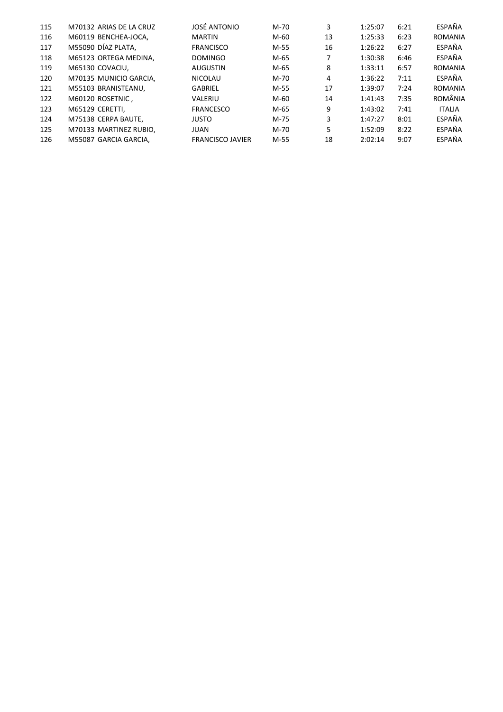| 115 | M70132 ARIAS DE LA CRUZ | JOSÉ ANTONIO            | $M-70$ | 3  | 1:25:07 | 6:21 | ESPAÑA         |
|-----|-------------------------|-------------------------|--------|----|---------|------|----------------|
| 116 | M60119 BENCHEA-JOCA,    | <b>MARTIN</b>           | $M-60$ | 13 | 1:25:33 | 6:23 | <b>ROMANIA</b> |
| 117 | M55090 DÍAZ PLATA,      | <b>FRANCISCO</b>        | M-55   | 16 | 1:26:22 | 6:27 | ESPAÑA         |
| 118 | M65123 ORTEGA MEDINA,   | <b>DOMINGO</b>          | M-65   |    | 1:30:38 | 6:46 | ESPAÑA         |
| 119 | M65130 COVACIU,         | <b>AUGUSTIN</b>         | M-65   | 8  | 1:33:11 | 6:57 | <b>ROMANIA</b> |
| 120 | M70135 MUNICIO GARCIA,  | NICOLAU                 | $M-70$ | 4  | 1:36:22 | 7:11 | ESPAÑA         |
| 121 | M55103 BRANISTEANU,     | <b>GABRIEL</b>          | M-55   | 17 | 1:39:07 | 7:24 | <b>ROMANIA</b> |
| 122 | M60120 ROSETNIC,        | VALERIU                 | $M-60$ | 14 | 1:41:43 | 7:35 | ROMÂNIA        |
| 123 | M65129 CERETTI,         | <b>FRANCESCO</b>        | M-65   | 9  | 1:43:02 | 7:41 | <b>ITALIA</b>  |
| 124 | M75138 CERPA BAUTE,     | <b>JUSTO</b>            | M-75   | 3  | 1:47:27 | 8:01 | ESPAÑA         |
| 125 | M70133 MARTINEZ RUBIO,  | <b>JUAN</b>             | M-70   | 5  | 1:52:09 | 8:22 | ESPAÑA         |
| 126 | M55087 GARCIA GARCIA,   | <b>FRANCISCO JAVIER</b> | M-55   | 18 | 2:02:14 | 9:07 | ESPAÑA         |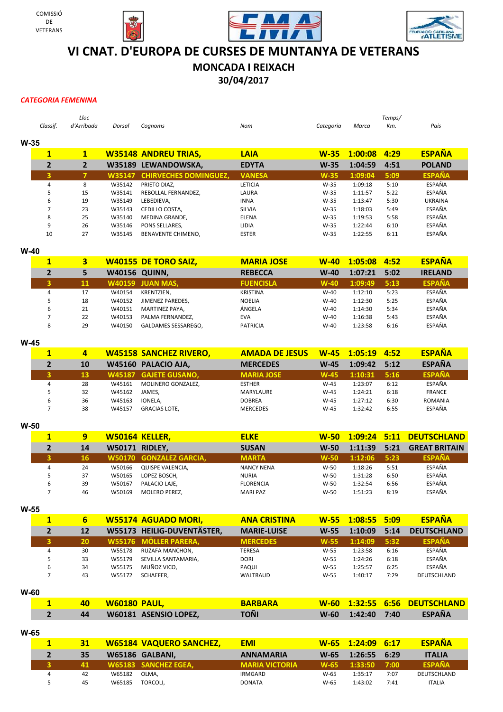







## **VI CNAT. D'EUROPA DE CURSES DE MUNTANYA DE VETERANS**

## **MONCADA I REIXACH**

**30/04/2017**

*CATEGORIA FEMENINA*

|        | Classif.       | Lloc<br>d'Arribada | Dorsal | Cognoms                             | Nom            | Categoria | Marca   | Temps/<br>Km. | Pais           |
|--------|----------------|--------------------|--------|-------------------------------------|----------------|-----------|---------|---------------|----------------|
| $W-35$ |                |                    |        |                                     |                |           |         |               |                |
|        | $\mathbf{1}$   | $\mathbf{1}$       |        | <b>W35148 ANDREU TRIAS,</b>         | <b>LAIA</b>    | $W-35$    | 1:00:08 | 4:29          | <b>ESPAÑA</b>  |
|        | $\overline{2}$ | $\mathbf{2}$       |        | W35189 LEWANDOWSKA,                 | <b>EDYTA</b>   | $W-35$    | 1:04:59 | 4:51          | <b>POLAND</b>  |
|        | 3              |                    |        | <b>W35147 CHIRVECHES DOMINGUEZ,</b> | <b>VANESA</b>  | $W-35$    | 1:09:04 | 5:09          | <b>ESPAÑA</b>  |
|        | 4              | 8                  | W35142 | PRIETO DIAZ.                        | <b>LETICIA</b> | $W-35$    | 1:09:18 | 5:10          | ESPAÑA         |
|        | 5              | 15                 | W35141 | REBOLLAL FERNANDEZ.                 | LAURA          | $W-35$    | 1:11:57 | 5:22          | ESPAÑA         |
|        | 6              | 19                 | W35149 | LEBEDIEVA.                          | <b>INNA</b>    | $W-35$    | 1:13:47 | 5:30          | <b>UKRAINA</b> |
|        | 7              | 23                 | W35143 | CEDILLO COSTA,                      | SILVIA         | $W-35$    | 1:18:03 | 5:49          | ESPAÑA         |
|        | 8              | 25                 | W35140 | <b>MEDINA GRANDE.</b>               | <b>ELENA</b>   | $W-35$    | 1:19:53 | 5:58          | ESPAÑA         |
|        | 9              | 26                 | W35146 | PONS SELLARES.                      | LIDIA          | $W-35$    | 1:22:44 | 6:10          | ESPAÑA         |
|        | 10             | 27                 | W35145 | BENAVENTE CHIMENO,                  | <b>ESTER</b>   | $W-35$    | 1:22:55 | 6:11          | ESPAÑA         |

#### **W-40**

|   |    |                      | <b>W40155 DE TORO SAIZ,</b> | <b>MARIA JOSE</b> | $W-40$ | $1:05:08$ 4:52 |      | <b>ESPAÑA</b>  |
|---|----|----------------------|-----------------------------|-------------------|--------|----------------|------|----------------|
|   |    | <b>W40156 QUINN,</b> |                             | <b>REBECCA</b>    | $W-40$ | 1:07:21        | 5:02 | <b>IRELAND</b> |
|   | 11 |                      | <b>W40159 JUAN MAS,</b>     | <b>FUENCISLA</b>  | $W-40$ | 1:09:49        | 5:13 | <b>ESPAÑA</b>  |
|   | 17 | W40154               | KRENTZIEN.                  | KRISTINA          | $W-40$ | 1:12:10        | 5:23 | ESPAÑA         |
|   | 18 | W40152               | JIMENEZ PAREDES.            | <b>NOELIA</b>     | $W-40$ | 1:12:30        | 5:25 | ESPAÑA         |
| 6 | 21 | W40151               | MARTINEZ PAYA,              | ÁNGELA            | $W-40$ | 1:14:30        | 5:34 | ESPAÑA         |
|   | 22 | W40153               | PALMA FERNANDEZ.            | <b>EVA</b>        | $W-40$ | 1:16:38        | 5:43 | ESPAÑA         |
| 8 | 29 | W40150               | GALDAMES SESSAREGO,         | <b>PATRICIA</b>   | $W-40$ | 1:23:58        | 6:16 | ESPAÑA         |

**W-45**

|   |    |        | <b>W45158 SANCHEZ RIVERO,</b> | <b>AMADA DE JESUS</b> |        | W-45 1:05:19 4:52 |      | <b>ESPAÑA</b>  |
|---|----|--------|-------------------------------|-----------------------|--------|-------------------|------|----------------|
|   | 10 |        | W45160 PALACIO AJA,           | <b>MERCEDES</b>       | $W-45$ | $1:09:42$ 5:12    |      | <b>ESPAÑA</b>  |
|   | 13 |        | <b>W45187 GAJETE GUSANO.</b>  | <b>MARIA JOSE</b>     | $W-45$ | 1:10:31           | 5:16 | <b>ESPAÑA</b>  |
|   | 28 | W45161 | MOLINERO GONZALEZ.            | <b>ESTHER</b>         | $W-45$ | 1:23:07           | 6:12 | ESPAÑA         |
|   | 32 | W45162 | JAMES.                        | MARYLAURE             | $W-45$ | 1:24:21           | 6:18 | <b>FRANCE</b>  |
| ь | 36 | W45163 | IONELA.                       | <b>DOBREA</b>         | $W-45$ | 1:27:12           | 6:30 | <b>ROMANIA</b> |
|   | 38 | W45157 | <b>GRACIAS LOTE.</b>          | <b>MERCEDES</b>       | $W-45$ | 1:32:42           | 6:55 | ESPAÑA         |

**W-50**

|   | 9  |        | W50164 KELLER.          | <b>ELKE</b>       |        |         |      | W-50 1:09:24 5:11 DEUTSCHLAND |
|---|----|--------|-------------------------|-------------------|--------|---------|------|-------------------------------|
|   | 14 |        | <b>W50171 RIDLEY,</b>   | <b>SUSAN</b>      | $W-50$ | 1:11:39 | 5:21 | <b>GREAT BRITAIN</b>          |
|   | 16 |        | W50170 GONZALEZ GARCIA. | <b>MARTA</b>      | $W-50$ | 1:12:06 | 5:23 | <b>ESPAÑA</b>                 |
| 4 | 24 | W50166 | QUISPE VALENCIA.        | <b>NANCY NENA</b> | $W-50$ | 1:18:26 | 5:51 | ESPAÑA                        |
|   | 37 | W50165 | LOPEZ BOSCH,            | <b>NURIA</b>      | $W-50$ | 1:31:28 | 6:50 | ESPAÑA                        |
| ь | 39 | W50167 | PALACIO LAJE.           | <b>FLORENCIA</b>  | $W-50$ | 1:32:54 | 6:56 | <b>ESPAÑA</b>                 |
|   | 46 | W50169 | <b>MOLERO PEREZ.</b>    | <b>MARI PAZ</b>   | $W-50$ | 1:51:23 | 8:19 | ESPAÑA                        |

**W-55**

| 1 | 6  |        | <b>W55174 AGUADO MORI,</b> | <b>ANA CRISTINA</b> |        | W-55 1:08:55 5:09 |      | <b>ESPAÑA</b>      |
|---|----|--------|----------------------------|---------------------|--------|-------------------|------|--------------------|
|   | 12 |        | W55173 HEILIG-DUVENTÄSTER, | <b>MARIE-LUISE</b>  | $W-55$ | 1:10:09           | 5:14 | <b>DEUTSCHLAND</b> |
|   | 20 |        | W55176 MÖLLER PARERA,      | <b>MERCEDES</b>     | $W-55$ | 1:14:09           | 5:32 | <b>ESPAÑA</b>      |
| 4 | 30 | W55178 | RUZAFA MANCHON.            | TERESA              | W-55   | 1:23:58           | 6:16 | ESPAÑA             |
|   | 33 | W55179 | SEVILLA SANTAMARIA,        | <b>DORI</b>         | W-55   | 1:24:26           | 6:18 | ESPAÑA             |
| 6 | 34 | W55175 | MUÑOZ VICO,                | PAQUI               | $W-55$ | 1:25:57           | 6:25 | <b>ESPAÑA</b>      |
|   | 43 | W55172 | SCHAEFER,                  | WALTRAUD            | W-55   | 1:40:17           | 7:29 | DEUTSCHLAND        |

**W-60**

|    | 40 W60180 PAUL,              | <b>BARBARA</b> |  | <b>W-60 1:32:55 6:56 DEUTSCHLAND</b> |
|----|------------------------------|----------------|--|--------------------------------------|
| 44 | <b>W60181 ASENSIO LOPEZ.</b> | TOÑI           |  | W-60 1:42:40 7:40 ESPAÑA             |

**W-65**

|   | 31  |        | <b>W65184 VAQUERO SANCHEZ,</b> | <b>EMI</b>            | $W-65$ | $1:24:09$ 6:17 |      | <b>ESPAÑA</b> |
|---|-----|--------|--------------------------------|-----------------------|--------|----------------|------|---------------|
|   | 35  |        | W65186 GALBANI,                | <b>ANNAMARIA</b>      | W-65   | 1:26:55 6:29   |      | <b>ITALIA</b> |
|   | 41. |        | W65183 SANCHEZ EGEA.           | <b>MARIA VICTORIA</b> | $W-65$ | 1:33:50        | 7:00 | <b>ESPAÑA</b> |
| 4 | 42  | W65182 | OLMA.                          | IRMGARD               | $W-65$ | 1:35:17        | 7:07 | DEUTSCHLAND   |
|   | 45  | W65185 | TORCOLI.                       | <b>DONATA</b>         | $W-65$ | 1:43:02        | 7:41 | <b>ITALIA</b> |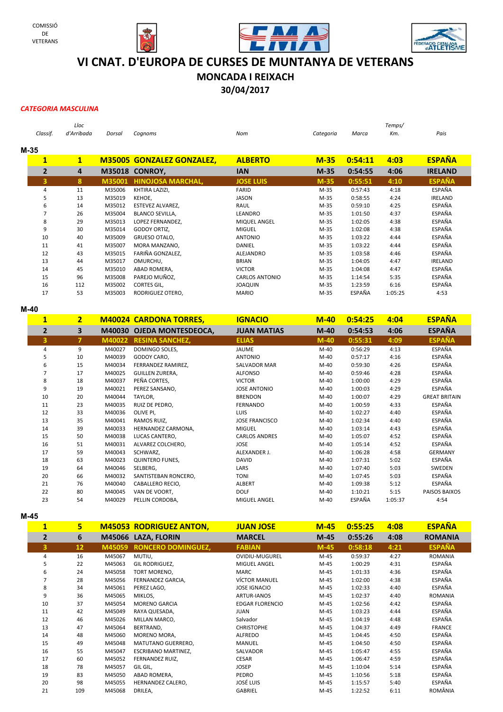







# **VI CNAT. D'EUROPA DE CURSES DE MUNTANYA DE VETERANS**

**MONCADA I REIXACH**

**30/04/2017**

#### *CATEGORIA MASCULINA*

|                         | Lloc       |        |                                  |                       |           |         | Temps/  |                |
|-------------------------|------------|--------|----------------------------------|-----------------------|-----------|---------|---------|----------------|
| Classif.                | d'Arribada | Dorsal | Cognoms                          | Nom                   | Categoria | Marca   | Km.     | Pais           |
| M-35                    |            |        |                                  |                       |           |         |         |                |
| $\overline{\mathbf{1}}$ | 1          |        | <b>M35005 GONZALEZ GONZALEZ,</b> | <b>ALBERTO</b>        | $M-35$    | 0:54:11 | 4:03    | <b>ESPAÑA</b>  |
| $\overline{2}$          | 4          | M35018 | <b>CONROY,</b>                   | <b>IAN</b>            | $M-35$    | 0:54:55 | 4:06    | <b>IRELAND</b> |
| 3                       | 8          | M35001 | <b>HINOJOSA MARCHAL,</b>         | <b>JOSE LUIS</b>      | $M-35$    | 0:55:51 | 4:10    | <b>ESPAÑA</b>  |
| 4                       | 11         | M35006 | KHTIRA LAZIZI,                   | FARID                 | $M-35$    | 0:57:43 | 4:18    | ESPAÑA         |
| 5                       | 13         | M35019 | KEHOE,                           | <b>JASON</b>          | $M-35$    | 0:58:55 | 4:24    | <b>IRELAND</b> |
| 6                       | 14         | M35012 | ESTEVEZ ALVAREZ,                 | RAUL                  | $M-35$    | 0:59:10 | 4:25    | ESPAÑA         |
| $\overline{7}$          | 26         | M35004 | <b>BLANCO SEVILLA,</b>           | LEANDRO               | $M-35$    | 1:01:50 | 4:37    | ESPAÑA         |
| 8                       | 29         | M35013 | LOPEZ FERNANDEZ,                 | MIQUEL ANGEL          | M-35      | 1:02:05 | 4:38    | ESPAÑA         |
| 9                       | 30         | M35014 | GODOY ORTIZ,                     | <b>MIGUEL</b>         | M-35      | 1:02:08 | 4:38    | ESPAÑA         |
| 10                      | 40         | M35009 | GRUESO OTALO,                    | <b>ANTONIO</b>        | $M-35$    | 1:03:22 | 4:44    | ESPAÑA         |
| 11                      | 41         | M35007 | MORA MANZANO,                    | DANIEL                | $M-35$    | 1:03:22 | 4:44    | ESPAÑA         |
| 12                      | 43         | M35015 | FARIÑA GONZALEZ,                 | ALEJANDRO             | $M-35$    | 1:03:58 | 4:46    | ESPAÑA         |
| 13                      | 44         | M35017 | OMURCHU,                         | <b>BRIAN</b>          | $M-35$    | 1:04:05 | 4:47    | <b>IRELAND</b> |
| 14                      | 45         | M35010 | ABAD ROMERA,                     | <b>VICTOR</b>         | $M-35$    | 1:04:08 | 4:47    | ESPAÑA         |
| 15                      | 96         | M35008 | PAREJO MUÑOZ,                    | <b>CARLOS ANTONIO</b> | $M-35$    | 1:14:54 | 5:35    | ESPAÑA         |
| 16                      | 112        | M35002 | CORTES GIL,                      | <b>JOAQUIN</b>        | $M-35$    | 1:23:59 | 6:16    | ESPAÑA         |
| 17                      | 53         | M35003 | RODRIGUEZ OTERO,                 | <b>MARIO</b>          | $M-35$    | ESPAÑA  | 1:05:25 | 4:53           |
| $M-40$                  |            |        |                                  |                       |           |         |         |                |

| $\mathbf{1}$   | $\overline{2}$ |        | <b>M40024 CARDONA TORRES,</b> | <b>IGNACIO</b>        | $M-40$ | 0:54:25 | 4:04    | <b>ESPAÑA</b>        |
|----------------|----------------|--------|-------------------------------|-----------------------|--------|---------|---------|----------------------|
| $\overline{2}$ | 3              |        | M40030 OJEDA MONTESDEOCA,     | <b>JUAN MATIAS</b>    | $M-40$ | 0:54:53 | 4:06    | <b>ESPAÑA</b>        |
| 3              | 7              | M40022 | <b>RESINA SANCHEZ,</b>        | <b>ELIAS</b>          | $M-40$ | 0:55:31 | 4:09    | <b>ESPAÑA</b>        |
| 4              | 9              | M40027 | DOMINGO SOLES,                | JAUME                 | $M-40$ | 0:56:29 | 4:13    | ESPAÑA               |
| 5              | 10             | M40039 | GODOY CARO,                   | <b>ANTONIO</b>        | $M-40$ | 0:57:17 | 4:16    | ESPAÑA               |
| 6              | 15             | M40034 | FERRANDEZ RAMIREZ.            | <b>SALVADOR MAR</b>   | $M-40$ | 0:59:30 | 4:26    | ESPAÑA               |
|                | 17             | M40025 | GUILLEN ZURERA,               | <b>ALFONSO</b>        | $M-40$ | 0:59:46 | 4:28    | ESPAÑA               |
| 8              | 18             | M40037 | PEÑA CORTES,                  | <b>VICTOR</b>         | $M-40$ | 1:00:00 | 4:29    | ESPAÑA               |
| 9              | 19             | M40021 | PEREZ SANSANO,                | <b>JOSE ANTONIO</b>   | $M-40$ | 1:00:03 | 4:29    | ESPAÑA               |
| 10             | 20             | M40044 | TAYLOR,                       | <b>BRENDON</b>        | $M-40$ | 1:00:07 | 4:29    | <b>GREAT BRITAIN</b> |
| 11             | 23             | M40035 | RUIZ DE PEDRO,                | FERNANDO              | $M-40$ | 1:00:59 | 4:33    | ESPAÑA               |
| 12             | 33             | M40036 | OLIVE PI,                     | <b>LUIS</b>           | $M-40$ | 1:02:27 | 4:40    | ESPAÑA               |
| 13             | 35             | M40041 | RAMOS RUIZ,                   | <b>JOSE FRANCISCO</b> | $M-40$ | 1:02:34 | 4:40    | ESPAÑA               |
| 14             | 39             | M40033 | HERNANDEZ CARMONA,            | <b>MIGUEL</b>         | $M-40$ | 1:03:14 | 4:43    | ESPAÑA               |
| 15             | 50             | M40038 | LUCAS CANTERO,                | <b>CARLOS ANDRES</b>  | $M-40$ | 1:05:07 | 4:52    | ESPAÑA               |
| 16             | 51             | M40031 | ALVAREZ COLCHERO,             | <b>JOSE</b>           | $M-40$ | 1:05:14 | 4:52    | ESPAÑA               |
| 17             | 59             | M40043 | SCHWARZ,                      | ALEXANDER J.          | $M-40$ | 1:06:28 | 4:58    | <b>GERMANY</b>       |
| 18             | 63             | M40023 | <b>QUINTERO FUNES,</b>        | <b>DAVID</b>          | $M-40$ | 1:07:31 | 5:02    | ESPAÑA               |
| 19             | 64             | M40046 | SELBERG,                      | LARS                  | $M-40$ | 1:07:40 | 5:03    | SWEDEN               |
| 20             | 66             | M40032 | SANTISTEBAN RONCERO,          | <b>TONI</b>           | $M-40$ | 1:07:45 | 5:03    | ESPAÑA               |
| 21             | 76             | M40040 | CABALLERO RECIO,              | ALBERT                | $M-40$ | 1:09:38 | 5:12    | ESPAÑA               |
| 22             | 80             | M40045 | VAN DE VOORT,                 | <b>DOLF</b>           | $M-40$ | 1:10:21 | 5:15    | PAISOS BAIXOS        |
| 23             | 54             | M40029 | PELLIN CORDOBA,               | MIGUEL ANGEL          | M-40   | ESPAÑA  | 1:05:37 | 4:54                 |

**M-45**

| $\mathbf{1}$   | 5                 |        | <b>M45053 RODRIGUEZ ANTON,</b> | <b>JUAN JOSE</b>       | $M-45$ | 0:55:25 | 4:08 | <b>ESPAÑA</b>  |
|----------------|-------------------|--------|--------------------------------|------------------------|--------|---------|------|----------------|
| $\overline{2}$ | 6                 |        | M45066 LAZA, FLORIN            | <b>MARCEL</b>          | $M-45$ | 0:55:26 | 4:08 | <b>ROMANIA</b> |
| 3              | $12 \overline{ }$ | M45059 | <b>RONCERO DOMINGUEZ,</b>      | <b>FABIAN</b>          | $M-45$ | 0:58:18 | 4:21 | <b>ESPAÑA</b>  |
| 4              | 16                | M45067 | MUTIU,                         | <b>OVIDIU-MUGUREL</b>  | M-45   | 0:59:37 | 4:27 | <b>ROMANIA</b> |
| 5              | 22                | M45063 | GIL RODRIGUEZ,                 | MIGUEL ANGEL           | M-45   | 1:00:29 | 4:31 | ESPAÑA         |
| 6              | 24                | M45058 | TORT MORENO,                   | MARC                   | M-45   | 1:01:33 | 4:36 | ESPAÑA         |
| 7              | 28                | M45056 | FERNANDEZ GARCIA,              | <b>VÍCTOR MANUEL</b>   | M-45   | 1:02:00 | 4:38 | ESPAÑA         |
| 8              | 34                | M45061 | PEREZ LAGO,                    | <b>JOSE IGNACIO</b>    | M-45   | 1:02:33 | 4:40 | ESPAÑA         |
| 9              | 36                | M45065 | MIKLOS,                        | <b>ARTUR-IANOS</b>     | M-45   | 1:02:37 | 4:40 | <b>ROMANIA</b> |
| 10             | 37                | M45054 | <b>MORENO GARCIA</b>           | <b>EDGAR FLORENCIO</b> | M-45   | 1:02:56 | 4:42 | ESPAÑA         |
| 11             | 42                | M45049 | RAYA QUESADA,                  | <b>JUAN</b>            | M-45   | 1:03:23 | 4:44 | ESPAÑA         |
| 12             | 46                | M45026 | MILLAN MARCO,                  | Salvador               | M-45   | 1:04:19 | 4:48 | ESPAÑA         |
| 13             | 47                | M45064 | BERTRAND,                      | <b>CHRISTOPHE</b>      | M-45   | 1:04:37 | 4:49 | <b>FRANCE</b>  |
| 14             | 48                | M45060 | MORENO MORA,                   | ALFREDO                | M-45   | 1:04:45 | 4:50 | ESPAÑA         |
| 15             | 49                | M45048 | MATUTANO GUERRERO,             | <b>MANUEL</b>          | M-45   | 1:04:50 | 4:50 | ESPAÑA         |
| 16             | 55                | M45047 | <b>ESCRIBANO MARTINEZ,</b>     | SALVADOR               | M-45   | 1:05:47 | 4:55 | ESPAÑA         |
| 17             | 60                | M45052 | FERNANDEZ RUIZ,                | <b>CESAR</b>           | M-45   | 1:06:47 | 4:59 | ESPAÑA         |
| 18             | 78                | M45057 | GIL GIL,                       | <b>JOSEP</b>           | M-45   | 1:10:04 | 5:14 | ESPAÑA         |
| 19             | 83                | M45050 | ABAD ROMERA,                   | <b>PEDRO</b>           | M-45   | 1:10:56 | 5:18 | ESPAÑA         |
| 20             | 98                | M45055 | HERNANDEZ CALERO,              | <b>JOSÉ LUIS</b>       | M-45   | 1:15:57 | 5:40 | ESPAÑA         |
| 21             | 109               | M45068 | DRILEA,                        | GABRIEL                | M-45   | 1:22:52 | 6:11 | ROMÂNIA        |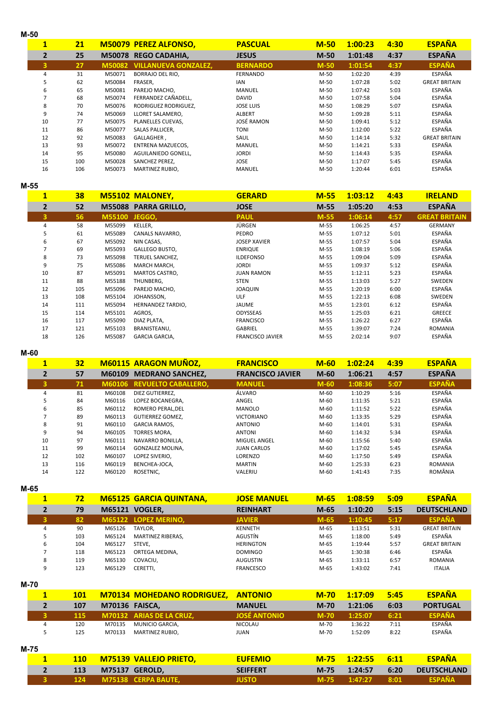| M-50                    |     |        |                                    |                  |        |         |      |                      |  |
|-------------------------|-----|--------|------------------------------------|------------------|--------|---------|------|----------------------|--|
| $\mathbf{1}$            | 21  |        | <b>M50079 PEREZ ALFONSO,</b>       | <b>PASCUAL</b>   | $M-50$ | 1:00:23 | 4:30 | <b>ESPAÑA</b>        |  |
| $\overline{2}$          | 25  |        | M50078 REGO CADAHIA,               | <b>JESUS</b>     | $M-50$ | 1:01:48 | 4:37 | <b>ESPAÑA</b>        |  |
| $\overline{\mathbf{3}}$ | 27  |        | <b>M50082 VILLANUEVA GONZALEZ,</b> | <b>BERNARDO</b>  | $M-50$ | 1:01:54 | 4:37 | <b>ESPAÑA</b>        |  |
| 4                       | 31  | M50071 | <b>BORRAJO DEL RIO,</b>            | <b>FERNANDO</b>  | M-50   | 1:02:20 | 4:39 | ESPAÑA               |  |
| 5                       | 62  | M50084 | FRASER,                            | <b>IAN</b>       | M-50   | 1:07:28 | 5:02 | <b>GREAT BRITAIN</b> |  |
| 6                       | 65  | M50081 | PAREJO MACHO,                      | <b>MANUEL</b>    | M-50   | 1:07:42 | 5:03 | ESPAÑA               |  |
| 7                       | 68  | M50074 | FERRANDEZ CAÑADELL,                | <b>DAVID</b>     | M-50   | 1:07:58 | 5:04 | ESPAÑA               |  |
| 8                       | 70  | M50076 | RODRIGUEZ RODRIGUEZ,               | <b>JOSE LUIS</b> | M-50   | 1:08:29 | 5:07 | ESPAÑA               |  |
| 9                       | 74  | M50069 | LLORET SALAMERO.                   | <b>ALBERT</b>    | M-50   | 1:09:28 | 5:11 | ESPAÑA               |  |
| 10                      | 77  | M50075 | PLANELLES CUEVAS,                  | JOSÉ RAMON       | M-50   | 1:09:41 | 5:12 | ESPAÑA               |  |
| 11                      | 86  | M50077 | SALAS PALLICER,                    | <b>TONI</b>      | M-50   | 1:12:00 | 5:22 | ESPAÑA               |  |
| 12                      | 92  | M50083 | GALLAGHER,                         | SAUL             | M-50   | 1:14:14 | 5:32 | <b>GREAT BRITAIN</b> |  |
| 13                      | 93  | M50072 | ENTRENA MAZUECOS,                  | <b>MANUEL</b>    | M-50   | 1:14:21 | 5:33 | ESPAÑA               |  |
| 14                      | 95  | M50080 | AGUILANIEDO GONELL,                | <b>JORDI</b>     | M-50   | 1:14:43 | 5:35 | ESPAÑA               |  |
| 15                      | 100 | M50028 | SANCHEZ PEREZ,                     | <b>JOSE</b>      | M-50   | 1:17:07 | 5:45 | ESPAÑA               |  |
| 16                      | 106 | M50073 | MARTINEZ RUBIO,                    | <b>MANUEL</b>    | M-50   | 1:20:44 | 6:01 | ESPAÑA               |  |

**M-55**

| $\mathbf{1}$   | 38  |        | <b>M55102 MALONEY.</b> | <b>GERARD</b>           | $M-55$ | 1:03:12 | 4:43 | <b>IRELAND</b>       |
|----------------|-----|--------|------------------------|-------------------------|--------|---------|------|----------------------|
| $\overline{2}$ | 52  | M55088 | <b>PARRA GRILLO,</b>   | <b>JOSE</b>             | $M-55$ | 1:05:20 | 4:53 | <b>ESPAÑA</b>        |
| 3              | 56  | M55100 | JEGGO,                 | <b>PAUL</b>             | $M-55$ | 1:06:14 | 4:57 | <b>GREAT BRITAIN</b> |
| 4              | 58  | M55099 | KELLER,                | JÜRGEN                  | M-55   | 1:06:25 | 4:57 | <b>GERMANY</b>       |
| 5              | 61  | M55089 | CANALS NAVARRO,        | PEDRO                   | M-55   | 1:07:12 | 5:01 | ESPAÑA               |
| 6              | 67  | M55092 | NIN CASAS,             | <b>JOSEP XAVIER</b>     | M-55   | 1:07:57 | 5:04 | ESPAÑA               |
| 7              | 69  | M55093 | GALLEGO BUSTO,         | <b>ENRIQUE</b>          | M-55   | 1:08:19 | 5:06 | ESPAÑA               |
| 8              | 73  | M55098 | TERUEL SANCHEZ,        | <b>ILDEFONSO</b>        | M-55   | 1:09:04 | 5:09 | ESPAÑA               |
| 9              | 75  | M55086 | MARCH MARCH,           | <b>JORDI</b>            | M-55   | 1:09:37 | 5:12 | ESPAÑA               |
| 10             | 87  | M55091 | MARTOS CASTRO,         | <b>JUAN RAMON</b>       | M-55   | 1:12:11 | 5:23 | ESPAÑA               |
| 11             | 88  | M55188 | THUNBERG,              | <b>STEN</b>             | M-55   | 1:13:03 | 5:27 | SWEDEN               |
| 12             | 105 | M55096 | PAREJO MACHO,          | <b>JOAQUIN</b>          | M-55   | 1:20:19 | 6:00 | ESPAÑA               |
| 13             | 108 | M55104 | JOHANSSON,             | ULF                     | M-55   | 1:22:13 | 6:08 | SWEDEN               |
| 14             | 111 | M55094 | HERNANDEZ TARDIO,      | JAUME                   | M-55   | 1:23:01 | 6:12 | ESPAÑA               |
| 15             | 114 | M55101 | AGROS,                 | ODYSSEAS                | M-55   | 1:25:03 | 6:21 | GREECE               |
| 16             | 117 | M55090 | DIAZ PLATA,            | <b>FRANCISCO</b>        | M-55   | 1:26:22 | 6:27 | ESPAÑA               |
| 17             | 121 | M55103 | BRANISTEANU,           | <b>GABRIEL</b>          | M-55   | 1:39:07 | 7:24 | <b>ROMANIA</b>       |
| 18             | 126 | M55087 | GARCIA GARCIA,         | <b>FRANCISCO JAVIER</b> | M-55   | 2:02:14 | 9:07 | ESPAÑA               |

**M-60**

|    | <b>M60115 ARAGON MUÑOZ,</b><br>32 |        |                            | <b>FRANCISCO</b>        | $M-60$ | 1:02:24 | 4:39 | <b>ESPAÑA</b>  |  |
|----|-----------------------------------|--------|----------------------------|-------------------------|--------|---------|------|----------------|--|
|    | 57                                | M60109 | <b>MEDRANO SANCHEZ,</b>    | <b>FRANCISCO JAVIER</b> | $M-60$ | 1:06:21 | 4:57 | <b>ESPAÑA</b>  |  |
|    | 71                                |        | M60106 REVUELTO CABALLERO, | <b>MANUEL</b>           | $M-60$ | 1:08:36 | 5:07 | <b>ESPAÑA</b>  |  |
| 4  | 81                                | M60108 | DIEZ GUTIERREZ.            | ÁLVARO                  | M-60   | 1:10:29 | 5:16 | ESPAÑA         |  |
| 5  | 84                                | M60116 | LOPEZ BOCANEGRA.           | ANGEL                   | M-60   | 1:11:35 | 5:21 | ESPAÑA         |  |
| 6  | 85                                | M60112 | ROMERO PERAL.DEL           | MANOLO                  | M-60   | 1:11:52 | 5:22 | ESPAÑA         |  |
|    | 89                                | M60113 | <b>GUTIERREZ GOMEZ.</b>    | <b>VICTORIANO</b>       | M-60   | 1:13:35 | 5:29 | ESPAÑA         |  |
| 8  | 91                                | M60110 | <b>GARCIA RAMOS.</b>       | <b>ANTONIO</b>          | M-60   | 1:14:01 | 5:31 | ESPAÑA         |  |
| 9  | 94                                | M60105 | <b>TORRES MORA.</b>        | <b>ANTONI</b>           | M-60   | 1:14:32 | 5:34 | ESPAÑA         |  |
| 10 | 97                                | M60111 | NAVARRO BONILLA.           | <b>MIGUEL ANGEL</b>     | M-60   | 1:15:56 | 5:40 | ESPAÑA         |  |
| 11 | 99                                | M60114 | GONZALEZ MOLINA.           | <b>JUAN CARLOS</b>      | M-60   | 1:17:02 | 5:45 | ESPAÑA         |  |
| 12 | 102                               | M60107 | LOPEZ SIVERIO.             | LORENZO                 | M-60   | 1:17:50 | 5:49 | ESPAÑA         |  |
| 13 | 116                               | M60119 | BENCHEA-JOCA,              | <b>MARTIN</b>           | M-60   | 1:25:33 | 6:23 | <b>ROMANIA</b> |  |
| 14 | 122                               | M60120 | ROSETNIC,                  | VALERIU                 | M-60   | 1:41:43 | 7:35 | ROMÂNIA        |  |

**M-65**

| $\mathbf{1}$ | 72  |                       | <b>M65125 GARCIA QUINTANA,</b> | <b>JOSE MANUEL</b> | $M-65$ | 1:08:59 | 5:09 | <b>ESPAÑA</b>        |
|--------------|-----|-----------------------|--------------------------------|--------------------|--------|---------|------|----------------------|
|              | 79  | <b>M65121 VOGLER,</b> |                                | <b>REINHART</b>    | $M-65$ | 1:10:20 | 5:15 | <b>DEUTSCHLAND</b>   |
| з            | 82  |                       | M65122 LOPEZ MERINO,           | <b>JAVIER</b>      | $M-65$ | 1:10:45 | 5:17 | <b>ESPAÑA</b>        |
| 4            | 90  | M65126                | TAYLOR.                        | <b>KENNETH</b>     | M-65   | 1:13:51 | 5:31 | <b>GREAT BRITAIN</b> |
|              | 103 | M65124                | <b>MARTINEZ RIBERAS.</b>       | AGUSTÍN            | M-65   | 1:18:00 | 5:49 | ESPAÑA               |
| 6            | 104 | M65127                | STEVE.                         | <b>HERINGTON</b>   | M-65   | 1:19:44 | 5:57 | <b>GREAT BRITAIN</b> |
|              | 118 | M65123                | ORTEGA MEDINA,                 | <b>DOMINGO</b>     | M-65   | 1:30:38 | 6:46 | ESPAÑA               |
| 8            | 119 | M65130                | COVACIU,                       | <b>AUGUSTIN</b>    | M-65   | 1:33:11 | 6:57 | <b>ROMANIA</b>       |
| 9            | 123 | M65129                | CERETTI.                       | <b>FRANCESCO</b>   | M-65   | 1:43:02 | 7:41 | <b>ITALIA</b>        |

**M-70**

| $\mathbf{1}$   | <b>101</b> | <b>M70134 MOHEDANO RODRIGUEZ,</b> |                               | <b>ANTONIO</b>      | $M-70$ | 1:17:09 | 5:45 | <b>ESPAÑA</b>      |  |
|----------------|------------|-----------------------------------|-------------------------------|---------------------|--------|---------|------|--------------------|--|
| $\overline{2}$ | 107        |                                   | <b>M70136 FAISCA,</b>         | <b>MANUEL</b>       | $M-70$ | 1:21:06 | 6:03 | <b>PORTUGAL</b>    |  |
| 3              | 115        |                                   | M70132 ARIAS DE LA CRUZ,      | <b>JOSÉ ANTONIO</b> | $M-70$ | 1:25:07 | 6:21 | <b>ESPAÑA</b>      |  |
| 4              | 120        | M70135                            | MUNICIO GARCIA,               | <b>NICOLAU</b>      | M-70   | 1:36:22 | 7:11 | ESPAÑA             |  |
| 5              | 125        | M70133                            | MARTINEZ RUBIO,               | <b>JUAN</b>         | M-70   | 1:52:09 | 8:22 | ESPAÑA             |  |
| $M-75$         |            |                                   |                               |                     |        |         |      |                    |  |
| $\mathbf{1}$   | <b>110</b> |                                   | <b>M75139 VALLEJO PRIETO,</b> | <b>EUFEMIO</b>      | $M-75$ | 1:22:55 | 6:11 | <b>ESPAÑA</b>      |  |
| $\overline{2}$ | 113        |                                   | <b>M75137 GEROLD,</b>         | <b>SEIFFERT</b>     | $M-75$ | 1:24:57 | 6:20 | <b>DEUTSCHLAND</b> |  |
|                | 124        |                                   | M75138 CERPA BAUTE,           | <b>JUSTO</b>        | $M-75$ | 1:47:27 | 8:01 | <b>ESPAÑA</b>      |  |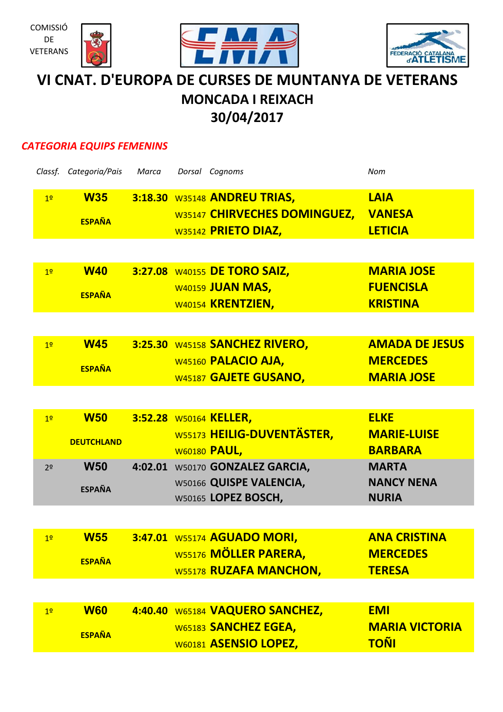





# **VI CNAT. D'EUROPA DE CURSES DE MUNTANYA DE VETERANS MONCADA I REIXACH 30/04/2017**

## *CATEGORIA EQUIPS FEMENINS*

|                | Classf. Categoria/Pais | Marca | Dorsal Cognoms                  | Nom                   |
|----------------|------------------------|-------|---------------------------------|-----------------------|
| 1 <sup>2</sup> | <b>W35</b>             |       | 3:18.30 W35148 ANDREU TRIAS,    | <b>LAIA</b>           |
|                |                        |       | W35147 CHIRVECHES DOMINGUEZ,    | <b>VANESA</b>         |
|                | <b>ESPAÑA</b>          |       | W35142 PRIETO DIAZ,             | <b>LETICIA</b>        |
|                |                        |       |                                 |                       |
| 1 <sup>2</sup> | <b>W40</b>             |       | 3:27.08 W40155 DE TORO SAIZ,    | <b>MARIA JOSE</b>     |
|                | <b>ESPAÑA</b>          |       | <b>W40159 JUAN MAS,</b>         | <b>FUENCISLA</b>      |
|                |                        |       | W40154 KRENTZIEN,               | <b>KRISTINA</b>       |
|                |                        |       |                                 |                       |
| 1 <sup>2</sup> | <b>W45</b>             |       | 3:25.30 W45158 SANCHEZ RIVERO,  | <b>AMADA DE JESUS</b> |
|                | <b>ESPAÑA</b>          |       | W45160 PALACIO AJA,             | <b>MERCEDES</b>       |
|                |                        |       | W45187 GAJETE GUSANO,           | <b>MARIA JOSE</b>     |
|                |                        |       |                                 |                       |
| 1 <sup>2</sup> | <b>W50</b>             |       | 3:52.28 W50164 KELLER,          | <b>ELKE</b>           |
|                | <b>DEUTCHLAND</b>      |       | W55173 HEILIG-DUVENTÄSTER,      | <b>MARIE-LUISE</b>    |
|                |                        |       | <b>W60180 PAUL,</b>             | <b>BARBARA</b>        |
| 2 <sup>o</sup> | <b>W50</b>             |       | 4:02.01 W50170 GONZALEZ GARCIA, | <b>MARTA</b>          |
|                | <b>ESPAÑA</b>          |       | W50166 QUISPE VALENCIA,         | <b>NANCY NENA</b>     |
|                |                        |       | W50165 LOPEZ BOSCH,             | <b>NURIA</b>          |
|                |                        |       |                                 |                       |
| 1 <sup>2</sup> | <b>W55</b>             |       | 3:47.01 W55174 AGUADO MORI,     | <b>ANA CRISTINA</b>   |
|                | <b>ESPAÑA</b>          |       | W55176 MÖLLER PARERA,           | <b>MERCEDES</b>       |
|                |                        |       | <b>W55178 RUZAFA MANCHON,</b>   | <b>TERESA</b>         |
|                |                        |       |                                 |                       |
| 1 <sup>°</sup> | <b>W60</b>             |       | 4:40.40 W65184 VAQUERO SANCHEZ, | <b>EMI</b>            |
|                | <b>ESPAÑA</b>          |       | W65183 SANCHEZ EGEA,            | <b>MARIA VICTORIA</b> |
|                |                        |       | W60181 ASENSIO LOPEZ,           | <u>TOÑI</u>           |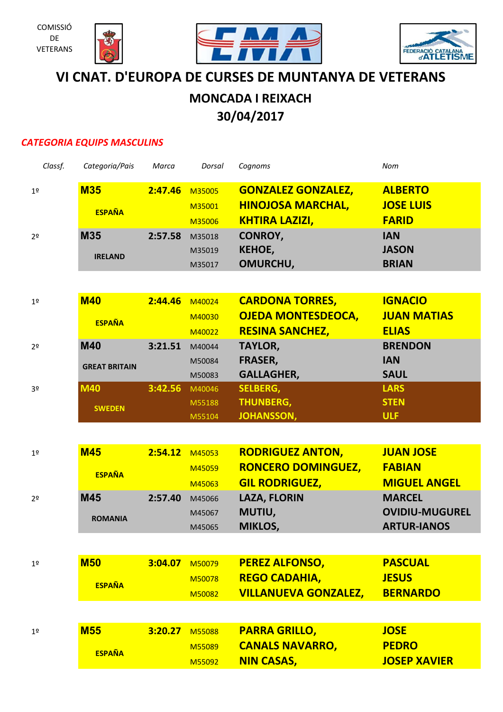







## **VI CNAT. D'EUROPA DE CURSES DE MUNTANYA DE VETERANS**

## **MONCADA I REIXACH 30/04/2017**

## *CATEGORIA EQUIPS MASCULINS*

| Classf.        | Categoria/Pais       | Marca   | Dorsal | Cognoms                     | Nom                   |
|----------------|----------------------|---------|--------|-----------------------------|-----------------------|
| 1 <sup>°</sup> | <b>M35</b>           | 2:47.46 | M35005 | <b>GONZALEZ GONZALEZ,</b>   | <b>ALBERTO</b>        |
|                | <b>ESPAÑA</b>        |         | M35001 | <b>HINOJOSA MARCHAL,</b>    | <b>JOSE LUIS</b>      |
|                |                      |         | M35006 | <b>KHTIRA LAZIZI,</b>       | <b>FARID</b>          |
| 2 <sup>0</sup> | <b>M35</b>           | 2:57.58 | M35018 | CONROY,                     | <b>IAN</b>            |
|                | <b>IRELAND</b>       |         | M35019 | <b>KEHOE,</b>               | <b>JASON</b>          |
|                |                      |         | M35017 | OMURCHU,                    | <b>BRIAN</b>          |
|                |                      |         |        |                             |                       |
| 1 <sup>°</sup> | <b>M40</b>           | 2:44.46 | M40024 | <b>CARDONA TORRES,</b>      | <b>IGNACIO</b>        |
|                | <b>ESPAÑA</b>        |         | M40030 | <b>OJEDA MONTESDEOCA,</b>   | <b>JUAN MATIAS</b>    |
|                |                      |         | M40022 | <b>RESINA SANCHEZ,</b>      | <b>ELIAS</b>          |
| 2 <sup>o</sup> | <b>M40</b>           | 3:21.51 | M40044 | <b>TAYLOR,</b>              | <b>BRENDON</b>        |
|                | <b>GREAT BRITAIN</b> |         | M50084 | <b>FRASER,</b>              | <b>IAN</b>            |
|                |                      |         | M50083 | <b>GALLAGHER,</b>           | <b>SAUL</b>           |
| 3º             | <b>M40</b>           | 3:42.56 | M40046 | <b>SELBERG,</b>             | <b>LARS</b>           |
|                | <b>SWEDEN</b>        |         | M55188 | <b>THUNBERG,</b>            | <b>STEN</b>           |
|                |                      |         | M55104 | <b>JOHANSSON,</b>           | <b>ULF</b>            |
|                |                      |         |        |                             |                       |
| 1 <sup>°</sup> | <b>M45</b>           | 2:54.12 | M45053 | <b>RODRIGUEZ ANTON,</b>     | <b>JUAN JOSE</b>      |
|                | <b>ESPAÑA</b>        |         | M45059 | <b>RONCERO DOMINGUEZ,</b>   | <b>FABIAN</b>         |
|                |                      |         | M45063 | <b>GIL RODRIGUEZ,</b>       | <b>MIGUEL ANGEL</b>   |
| 2 <sup>0</sup> | <b>M45</b>           | 2:57.40 | M45066 | <b>LAZA, FLORIN</b>         | <b>MARCEL</b>         |
|                | <b>ROMANIA</b>       |         | M45067 | MUTIU,                      | <b>OVIDIU-MUGUREL</b> |
|                |                      |         | M45065 | MIKLOS,                     | <b>ARTUR-IANOS</b>    |
|                |                      |         |        |                             |                       |
| 1 <sup>°</sup> | <b>M50</b>           | 3:04.07 | M50079 | <b>PEREZ ALFONSO,</b>       | <b>PASCUAL</b>        |
|                | <b>ESPAÑA</b>        |         | M50078 | <b>REGO CADAHIA,</b>        | <b>JESUS</b>          |
|                |                      |         | M50082 | <b>VILLANUEVA GONZALEZ,</b> | <b>BERNARDO</b>       |
|                |                      |         |        |                             |                       |
| 1 <sup>°</sup> | <b>M55</b>           | 3:20.27 | M55088 | <b>PARRA GRILLO,</b>        | <b>JOSE</b>           |
|                | <b>ESPAÑA</b>        |         | M55089 | <b>CANALS NAVARRO,</b>      | <b>PEDRO</b>          |
|                |                      |         | M55092 | <b>NIN CASAS,</b>           | <b>JOSEP XAVIER</b>   |